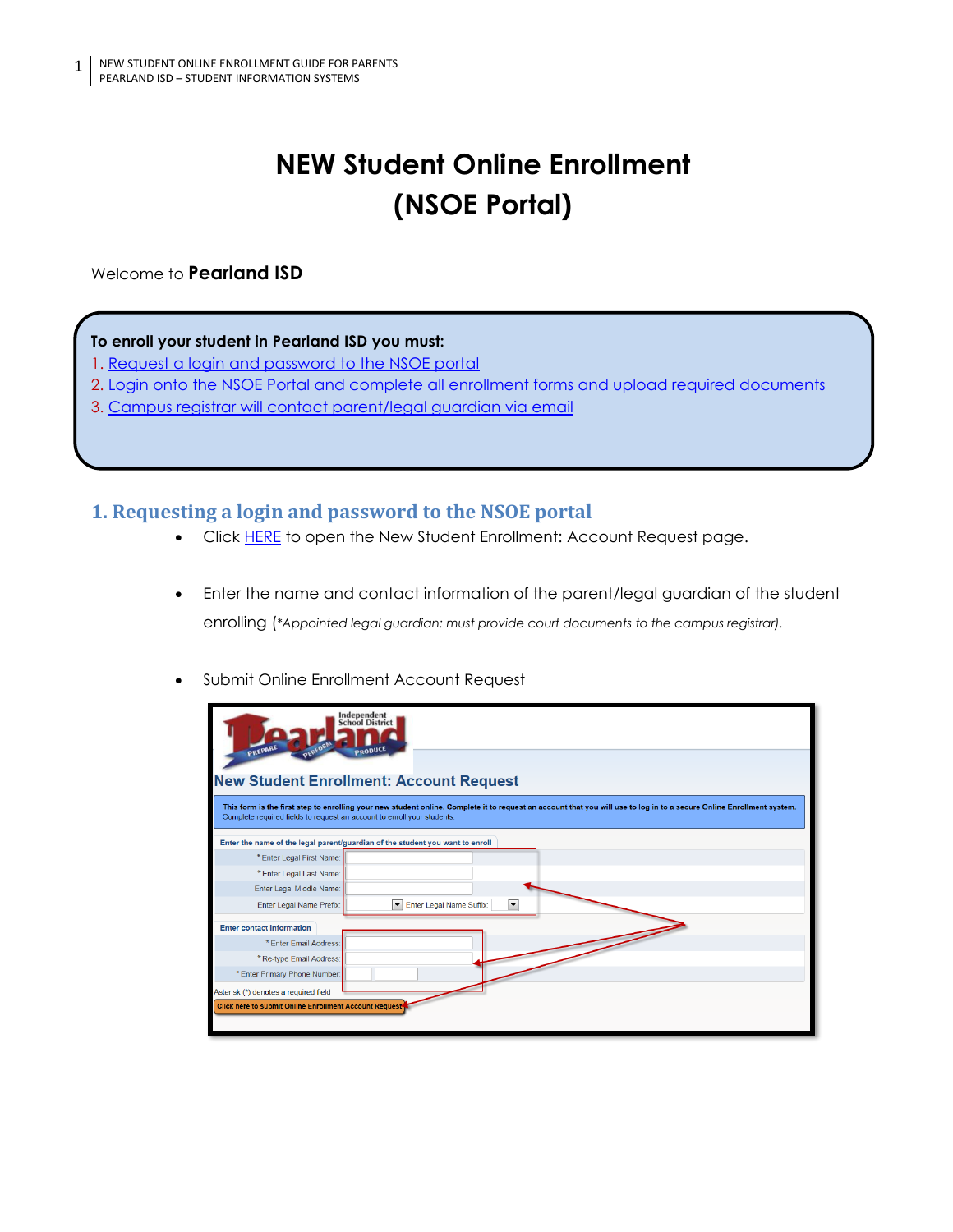# **NEW Student Online Enrollment (NSOE Portal)**

Welcome to **Pearland ISD**

#### **To enroll your student in Pearland ISD you must:**

- 1. [Request a login and password to the NSOE portal](#page-0-0)
- 2. [Login onto the NSOE Portal and complete all enrollment forms and upload required documents](#page-1-0)
- 3. [Campus registrar will contact parent/legal guardian via email](#page-1-1)

### <span id="page-0-0"></span>**1. Requesting a login and password to the NSOE portal**

- Click [HERE](https://skyward.pearlandisd.org/scripts/wsisa.dll/WService=wsEAplus/skyenroll.w) to open the New Student Enrollment: Account Request page.
- Enter the name and contact information of the parent/legal guardian of the student enrolling (*\*Appointed legal guardian: must provide court documents to the campus registrar).*
- Submit Online Enrollment Account Request

| Independent<br><b>School District</b><br>PREPARE<br>PRODUCE                                                                                                                                                                                      |                                                                                  |
|--------------------------------------------------------------------------------------------------------------------------------------------------------------------------------------------------------------------------------------------------|----------------------------------------------------------------------------------|
|                                                                                                                                                                                                                                                  |                                                                                  |
| <b>New Student Enrollment: Account Request</b>                                                                                                                                                                                                   |                                                                                  |
| This form is the first step to enrolling your new student online. Complete it to request an account that you will use to log in to a secure Online Enrollment system.<br>Complete required fields to request an account to enroll your students. |                                                                                  |
| Enter the name of the legal parent/guardian of the student you want to enroll                                                                                                                                                                    |                                                                                  |
| * Enter Legal First Name:                                                                                                                                                                                                                        |                                                                                  |
| * Enter Legal Last Name:                                                                                                                                                                                                                         |                                                                                  |
| Enter Legal Middle Name:                                                                                                                                                                                                                         |                                                                                  |
| Enter Legal Name Prefix:                                                                                                                                                                                                                         | Enter Legal Name Suffix:<br>$\overline{\phantom{a}}$<br>$\overline{\phantom{a}}$ |
| <b>Enter contact information</b>                                                                                                                                                                                                                 |                                                                                  |
| * Enter Email Address:                                                                                                                                                                                                                           |                                                                                  |
| *Re-type Email Address:                                                                                                                                                                                                                          |                                                                                  |
| * Enter Primary Phone Number:                                                                                                                                                                                                                    |                                                                                  |
| Asterisk (*) denotes a required field                                                                                                                                                                                                            |                                                                                  |
| Click here to submit Online Enrollment Account Request                                                                                                                                                                                           |                                                                                  |